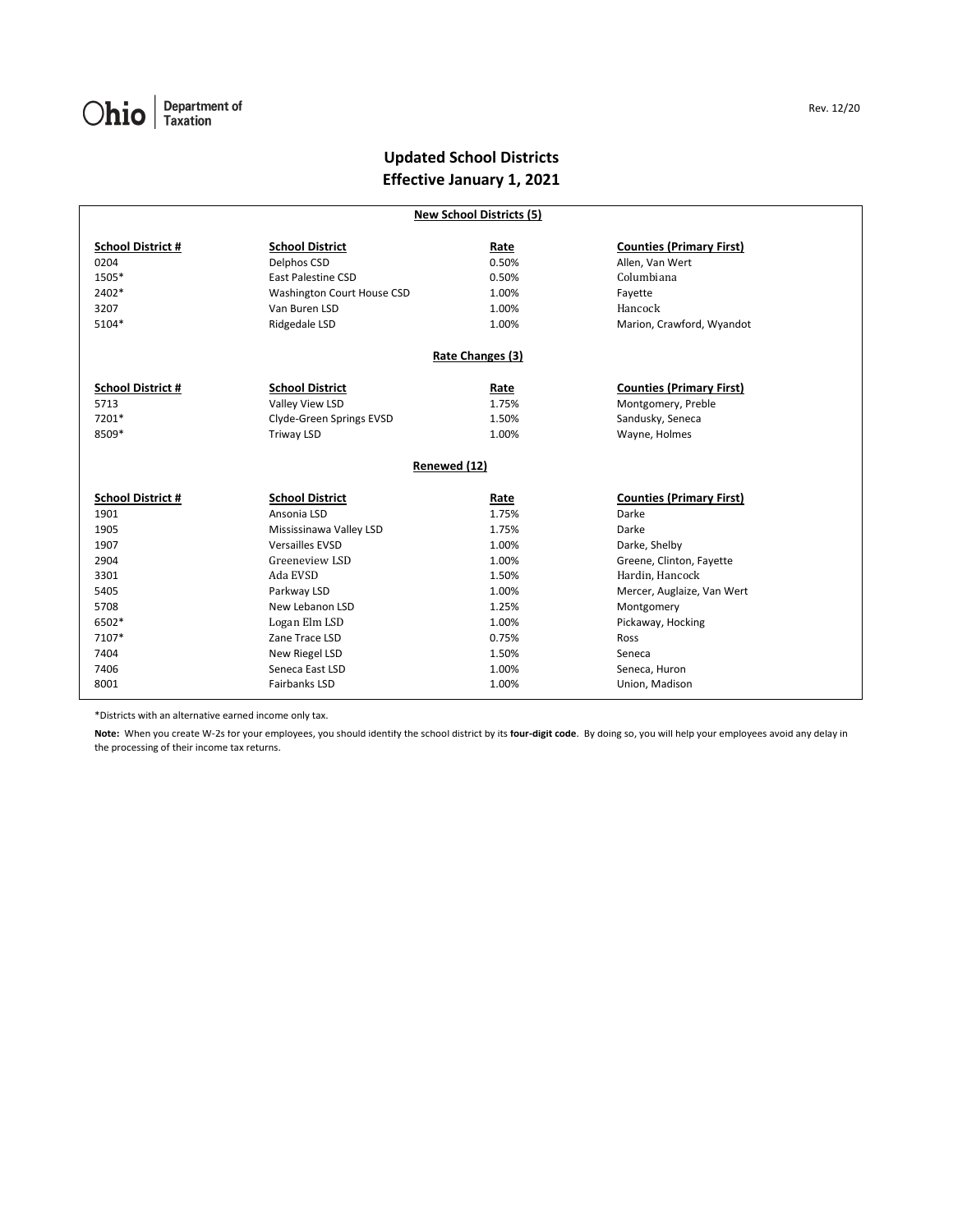## **Updated School Districts Effective January 1, 2021**

| <b>New School Districts (5)</b> |                                       |               |                                 |  |  |  |  |  |
|---------------------------------|---------------------------------------|---------------|---------------------------------|--|--|--|--|--|
| <b>School District #</b>        |                                       |               | <b>Counties (Primary First)</b> |  |  |  |  |  |
| 0204                            | <b>School District</b><br>Delphos CSD | Rate<br>0.50% | Allen, Van Wert                 |  |  |  |  |  |
| 1505*                           | <b>East Palestine CSD</b>             | 0.50%         | Columbiana                      |  |  |  |  |  |
| 2402*                           |                                       |               |                                 |  |  |  |  |  |
|                                 | Washington Court House CSD            | 1.00%         | Fayette                         |  |  |  |  |  |
| 3207                            | Van Buren LSD                         | 1.00%         | Hancock                         |  |  |  |  |  |
| 5104*                           | Ridgedale LSD                         | 1.00%         | Marion, Crawford, Wyandot       |  |  |  |  |  |
| Rate Changes (3)                |                                       |               |                                 |  |  |  |  |  |
| <b>School District #</b>        | <b>School District</b>                | Rate          | <b>Counties (Primary First)</b> |  |  |  |  |  |
| 5713                            | Valley View LSD                       | 1.75%         | Montgomery, Preble              |  |  |  |  |  |
| 7201*                           | Clyde-Green Springs EVSD              | 1.50%         | Sandusky, Seneca                |  |  |  |  |  |
| 8509*                           | Triway LSD                            | 1.00%         | Wayne, Holmes                   |  |  |  |  |  |
| Renewed (12)                    |                                       |               |                                 |  |  |  |  |  |
| <b>School District #</b>        | <b>School District</b>                | Rate          | <b>Counties (Primary First)</b> |  |  |  |  |  |
| 1901                            | Ansonia LSD                           | 1.75%         | Darke                           |  |  |  |  |  |
| 1905                            | Mississinawa Valley LSD               | 1.75%         | Darke                           |  |  |  |  |  |
| 1907                            | <b>Versailles EVSD</b>                | 1.00%         | Darke, Shelby                   |  |  |  |  |  |
| 2904                            | Greeneview LSD                        | 1.00%         | Greene, Clinton, Fayette        |  |  |  |  |  |
| 3301                            | Ada EVSD                              | 1.50%         | Hardin, Hancock                 |  |  |  |  |  |
| 5405                            | Parkway LSD                           | 1.00%         | Mercer, Auglaize, Van Wert      |  |  |  |  |  |
| 5708                            | New Lebanon LSD                       | 1.25%         | Montgomery                      |  |  |  |  |  |
| 6502*                           | Logan Elm LSD                         | 1.00%         | Pickaway, Hocking               |  |  |  |  |  |
| 7107*                           | Zane Trace LSD                        | 0.75%         | Ross                            |  |  |  |  |  |
| 7404                            | New Riegel LSD                        | 1.50%         | Seneca                          |  |  |  |  |  |
| 7406                            | Seneca East LSD                       | 1.00%         | Seneca, Huron                   |  |  |  |  |  |
| 8001                            | <b>Fairbanks LSD</b>                  | 1.00%         | Union, Madison                  |  |  |  |  |  |
|                                 |                                       |               |                                 |  |  |  |  |  |

\*Districts with an alternative earned income only tax.

**Note:** When you create W-2s for your employees, you should identify the school district by its **four-digit code**. By doing so, you will help your employees avoid any delay in the processing of their income tax returns.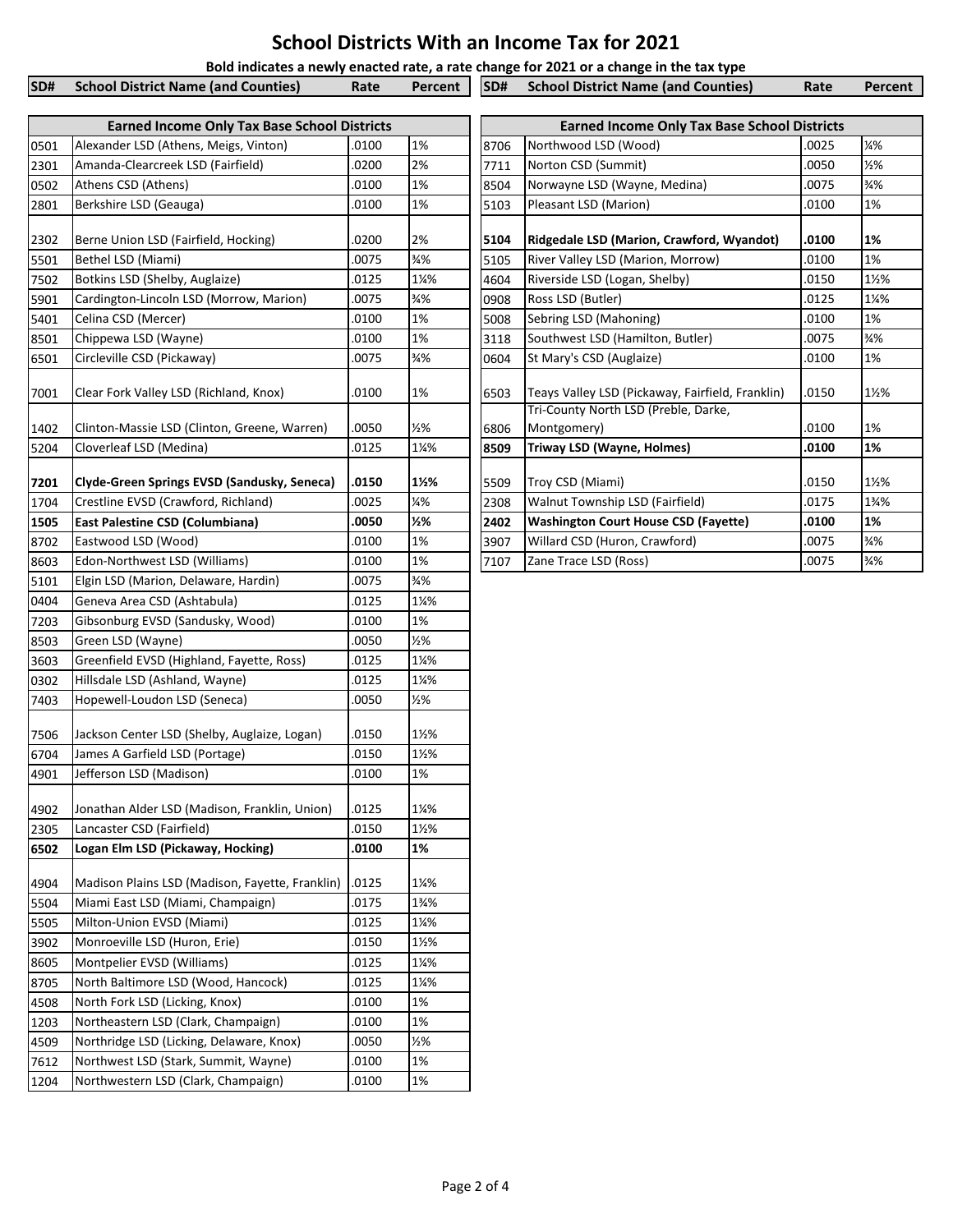## **School Districts With an Income Tax for 2021**

**Bold indicates a newly enacted rate, a rate change for 2021 or a change in the tax type**

| <b>SD#</b> School District Name (and Counties) | Rate |  | Percent   SD# School District Name (and Counties) | Rate | Percent |
|------------------------------------------------|------|--|---------------------------------------------------|------|---------|
|                                                |      |  |                                                   |      |         |
|                                                |      |  |                                                   |      |         |

|      | <b>Earned Income Only Tax Base School Districts</b> |       |                 |      | <b>Earned Income Only Tax Base School Districts</b> |       |                 |
|------|-----------------------------------------------------|-------|-----------------|------|-----------------------------------------------------|-------|-----------------|
| 0501 | Alexander LSD (Athens, Meigs, Vinton)               | .0100 | 1%              | 8706 | Northwood LSD (Wood)                                | .0025 | 14%             |
| 2301 | Amanda-Clearcreek LSD (Fairfield)                   | .0200 | 2%              | 7711 | Norton CSD (Summit)                                 | 0050  | 1/2%            |
| 0502 | Athens CSD (Athens)                                 | .0100 | 1%              | 8504 | Norwayne LSD (Wayne, Medina)                        | 0075  | $\frac{3}{4}$ % |
| 2801 | Berkshire LSD (Geauga)                              | .0100 | 1%              | 5103 | Pleasant LSD (Marion)                               | .0100 | 1%              |
|      |                                                     |       |                 |      |                                                     |       |                 |
| 2302 | Berne Union LSD (Fairfield, Hocking)                | .0200 | 2%              | 5104 | Ridgedale LSD (Marion, Crawford, Wyandot)           | .0100 | 1%              |
| 5501 | Bethel LSD (Miami)                                  | .0075 | $\frac{3}{4}\%$ | 5105 | River Valley LSD (Marion, Morrow)                   | 0100  | 1%              |
| 7502 | Botkins LSD (Shelby, Auglaize)                      | .0125 | 1¼%             | 4604 | Riverside LSD (Logan, Shelby)                       | .0150 | 1½%             |
| 5901 | Cardington-Lincoln LSD (Morrow, Marion)             | 0075  | $\frac{3}{4}\%$ | 0908 | Ross LSD (Butler)                                   | .0125 | 1¼%             |
| 5401 | Celina CSD (Mercer)                                 | .0100 | 1%              | 5008 | Sebring LSD (Mahoning)                              | 0100. | 1%              |
| 8501 | Chippewa LSD (Wayne)                                | .0100 | 1%              | 3118 | Southwest LSD (Hamilton, Butler)                    | .0075 | 3⁄4%            |
| 6501 | Circleville CSD (Pickaway)                          | .0075 | $\frac{3}{4}\%$ | 0604 | St Mary's CSD (Auglaize)                            | .0100 | 1%              |
| 7001 | Clear Fork Valley LSD (Richland, Knox)              | .0100 | 1%              | 6503 | Teays Valley LSD (Pickaway, Fairfield, Franklin)    | .0150 | 1½%             |
| 1402 | Clinton-Massie LSD (Clinton, Greene, Warren)        | .0050 | 1/2%            | 6806 | Tri-County North LSD (Preble, Darke,<br>Montgomery) | 0100  | 1%              |
| 5204 | Cloverleaf LSD (Medina)                             | .0125 | 1¼%             | 8509 | Triway LSD (Wayne, Holmes)                          | .0100 | 1%              |
| 7201 | Clyde-Green Springs EVSD (Sandusky, Seneca)         | .0150 | 1½%             | 5509 | Troy CSD (Miami)                                    | .0150 | 1½%             |
| 1704 | Crestline EVSD (Crawford, Richland)                 | .0025 | 1⁄4%            | 2308 | Walnut Township LSD (Fairfield)                     | .0175 | 1%%             |
| 1505 | East Palestine CSD (Columbiana)                     | .0050 | $\frac{1}{2}$ % | 2402 | <b>Washington Court House CSD (Fayette)</b>         | .0100 | 1%              |
| 8702 | Eastwood LSD (Wood)                                 | .0100 | 1%              | 3907 | Willard CSD (Huron, Crawford)                       | .0075 | 3⁄4%            |
| 8603 | Edon-Northwest LSD (Williams)                       | .0100 | 1%              | 7107 | Zane Trace LSD (Ross)                               | .0075 | $\frac{3}{4}\%$ |
| 5101 | Elgin LSD (Marion, Delaware, Hardin)                | 0075  | $\frac{3}{4}$ % |      |                                                     |       |                 |
| 0404 | Geneva Area CSD (Ashtabula)                         | .0125 | 1¼%             |      |                                                     |       |                 |
| 7203 | Gibsonburg EVSD (Sandusky, Wood)                    | .0100 | 1%              |      |                                                     |       |                 |
| 8503 | Green LSD (Wayne)                                   | .0050 | 1/2%            |      |                                                     |       |                 |
| 3603 | Greenfield EVSD (Highland, Fayette, Ross)           | .0125 | 1¼%             |      |                                                     |       |                 |
| 0302 | Hillsdale LSD (Ashland, Wayne)                      | .0125 | 1¼%             |      |                                                     |       |                 |
| 7403 | Hopewell-Loudon LSD (Seneca)                        | .0050 | 1/2%            |      |                                                     |       |                 |
| 7506 | Jackson Center LSD (Shelby, Auglaize, Logan)        | .0150 | 1½%             |      |                                                     |       |                 |
| 6704 | James A Garfield LSD (Portage)                      | .0150 | 1½%             |      |                                                     |       |                 |
| 4901 | Jefferson LSD (Madison)                             | .0100 | 1%              |      |                                                     |       |                 |
| 4902 | Jonathan Alder LSD (Madison, Franklin, Union)       | .0125 | 1¼%             |      |                                                     |       |                 |
| 2305 | Lancaster CSD (Fairfield)                           | .0150 | 1½%             |      |                                                     |       |                 |
| 6502 | Logan Elm LSD (Pickaway, Hocking)                   | .0100 | 1%              |      |                                                     |       |                 |
| 4904 | Madison Plains LSD (Madison, Fayette, Franklin)     | .0125 | 1¼%             |      |                                                     |       |                 |
| 5504 | Miami East LSD (Miami, Champaign)                   | .0175 | 1%%             |      |                                                     |       |                 |
| 5505 | Milton-Union EVSD (Miami)                           | .0125 | 1¼%             |      |                                                     |       |                 |
| 3902 | Monroeville LSD (Huron, Erie)                       | .0150 | 1½%             |      |                                                     |       |                 |
| 8605 | Montpelier EVSD (Williams)                          | .0125 | 1¼%             |      |                                                     |       |                 |
| 8705 | North Baltimore LSD (Wood, Hancock)                 | .0125 | 1¼%             |      |                                                     |       |                 |
| 4508 | North Fork LSD (Licking, Knox)                      | .0100 | 1%              |      |                                                     |       |                 |
| 1203 | Northeastern LSD (Clark, Champaign)                 | .0100 | 1%              |      |                                                     |       |                 |
| 4509 | Northridge LSD (Licking, Delaware, Knox)            | .0050 | 1/2%            |      |                                                     |       |                 |
| 7612 | Northwest LSD (Stark, Summit, Wayne)                | .0100 | 1%              |      |                                                     |       |                 |
| 1204 | Northwestern LSD (Clark, Champaign)                 | .0100 | 1%              |      |                                                     |       |                 |

|      | <b>Earned Income Only Tax Base School Districts</b> |       |                  |  |  |  |  |  |
|------|-----------------------------------------------------|-------|------------------|--|--|--|--|--|
| 8706 | Northwood LSD (Wood)                                | .0025 | 14%              |  |  |  |  |  |
| 7711 | Norton CSD (Summit)                                 | .0050 | 1/2%             |  |  |  |  |  |
| 8504 | Norwayne LSD (Wayne, Medina)                        | .0075 | $\frac{3}{4}$ %  |  |  |  |  |  |
| 5103 | Pleasant LSD (Marion)                               | .0100 | 1%               |  |  |  |  |  |
| 5104 | Ridgedale LSD (Marion, Crawford, Wyandot)           | .0100 | 1%               |  |  |  |  |  |
| 5105 | River Valley LSD (Marion, Morrow)                   | .0100 | 1%               |  |  |  |  |  |
| 4604 | Riverside LSD (Logan, Shelby)                       | .0150 | 1%%              |  |  |  |  |  |
| 0908 | Ross LSD (Butler)                                   | .0125 | 11⁄4%            |  |  |  |  |  |
| 5008 | Sebring LSD (Mahoning)                              | .0100 | 1%               |  |  |  |  |  |
| 3118 | Southwest LSD (Hamilton, Butler)                    | .0075 | $\frac{3}{4}$ %  |  |  |  |  |  |
| 0604 | St Mary's CSD (Auglaize)                            | .0100 | 1%               |  |  |  |  |  |
| 6503 | Teays Valley LSD (Pickaway, Fairfield, Franklin)    | .0150 | 1½%              |  |  |  |  |  |
|      | Tri-County North LSD (Preble, Darke,                |       |                  |  |  |  |  |  |
| 6806 | Montgomery)                                         | .0100 | 1%               |  |  |  |  |  |
| 8509 | Triway LSD (Wayne, Holmes)                          | .0100 | 1%               |  |  |  |  |  |
| 5509 | Troy CSD (Miami)                                    | .0150 | 1½%              |  |  |  |  |  |
| 2308 | <b>Walnut Township LSD (Fairfield)</b>              | .0175 | $1\frac{3}{4}\%$ |  |  |  |  |  |
| 2402 | <b>Washington Court House CSD (Fayette)</b>         | .0100 | 1%               |  |  |  |  |  |
| 3907 | Willard CSD (Huron, Crawford)                       | .0075 | $\frac{3}{4}$ %  |  |  |  |  |  |
| 7107 | Zane Trace LSD (Ross)                               | .0075 | $\frac{3}{4}$ %  |  |  |  |  |  |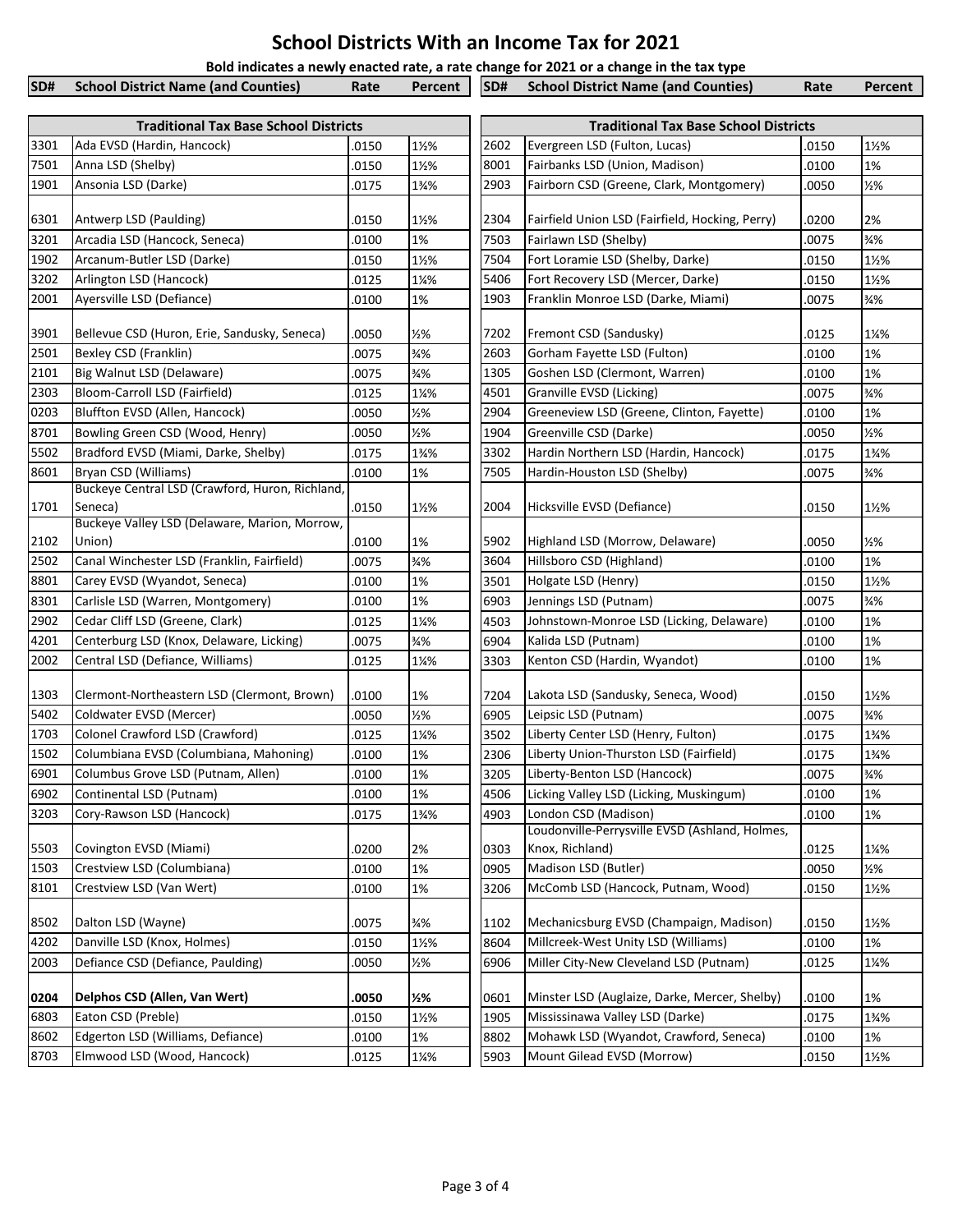## **School Districts With an Income Tax for 2021**

**Bold indicates a newly enacted rate, a rate change for 2021 or a change in the tax type**

| <b>School District Name (and Counties)</b><br>SD# School District Name (and Counties)<br>Percent   SD#<br>Rate<br>Rate<br>Percent |  |  |  |  |
|-----------------------------------------------------------------------------------------------------------------------------------|--|--|--|--|
|                                                                                                                                   |  |  |  |  |

|              | <b>Traditional Tax Base School Districts</b>         |                |                       |              | <b>Traditional Tax Base School Districts</b>                |                |                  |
|--------------|------------------------------------------------------|----------------|-----------------------|--------------|-------------------------------------------------------------|----------------|------------------|
| 3301         | Ada EVSD (Hardin, Hancock)                           | .0150          | 1½%                   | 2602         | Evergreen LSD (Fulton, Lucas)                               | 0150           | 1½%              |
| 7501         | Anna LSD (Shelby)                                    | 0150           | 1½%                   | 8001         | Fairbanks LSD (Union, Madison)                              | .0100          | 1%               |
| 1901         | Ansonia LSD (Darke)                                  | .0175          | 1%%                   | 2903         | Fairborn CSD (Greene, Clark, Montgomery)                    | .0050          | 1/2%             |
|              |                                                      |                |                       |              |                                                             |                |                  |
| 6301         | Antwerp LSD (Paulding)                               | .0150          | $1\frac{1}{2}$ %      | 2304         | Fairfield Union LSD (Fairfield, Hocking, Perry)             | .0200          | 2%               |
| 3201         | Arcadia LSD (Hancock, Seneca)                        | .0100          | 1%                    | 7503         | Fairlawn LSD (Shelby)                                       | .0075          | $\frac{3}{4}\%$  |
| 1902         | Arcanum-Butler LSD (Darke)                           | .0150          | 1½%                   | 7504         | Fort Loramie LSD (Shelby, Darke)                            | .0150          | 1½%              |
| 3202         | Arlington LSD (Hancock)                              | .0125          | 1¼%                   | 5406         | Fort Recovery LSD (Mercer, Darke)                           | .0150          | 1½%              |
| 2001         | Ayersville LSD (Defiance)                            | .0100          | 1%                    | 1903         | Franklin Monroe LSD (Darke, Miami)                          | 0075           | $\frac{3}{4}$ %  |
| 3901         | Bellevue CSD (Huron, Erie, Sandusky, Seneca)         | .0050          | 1/2%                  | 7202         | Fremont CSD (Sandusky)                                      | .0125          | 1¼%              |
| 2501         | <b>Bexley CSD (Franklin)</b>                         | 0075           | $\frac{3}{4}$ %       | 2603         | Gorham Fayette LSD (Fulton)                                 | .0100          | 1%               |
| 2101         | Big Walnut LSD (Delaware)                            | .0075          | $\frac{3}{4}$ %       | 1305         | Goshen LSD (Clermont, Warren)                               | .0100          | 1%               |
| 2303         | Bloom-Carroll LSD (Fairfield)                        | 0125           | 1¼%                   | 4501         | Granville EVSD (Licking)                                    | .0075          | $\frac{3}{4}$ %  |
| 0203         | Bluffton EVSD (Allen, Hancock)                       | .0050          | 1/2%                  | 2904         | Greeneview LSD (Greene, Clinton, Fayette)                   | .0100          | 1%               |
| 8701         | Bowling Green CSD (Wood, Henry)                      | 0050.          | 1/2%                  | 1904         | Greenville CSD (Darke)                                      | .0050          | 1/2%             |
| 5502         | Bradford EVSD (Miami, Darke, Shelby)                 | .0175          | 1%%                   | 3302         | Hardin Northern LSD (Hardin, Hancock)                       | .0175          | 1%%              |
| 8601         | Bryan CSD (Williams)                                 | .0100          | 1%                    | 7505         | Hardin-Houston LSD (Shelby)                                 | .0075          | $\frac{3}{4}$ %  |
|              | Buckeye Central LSD (Crawford, Huron, Richland,      |                |                       |              |                                                             |                |                  |
| 1701         | Seneca)                                              | .0150          | 1½%                   | 2004         | Hicksville EVSD (Defiance)                                  | .0150          | 1½%              |
|              | Buckeye Valley LSD (Delaware, Marion, Morrow,        |                |                       |              |                                                             |                |                  |
| 2102<br>2502 | Union)<br>Canal Winchester LSD (Franklin, Fairfield) | .0100          | 1%<br>$\frac{3}{4}$ % | 5902<br>3604 | Highland LSD (Morrow, Delaware)<br>Hillsboro CSD (Highland) | .0050          | 1/2%<br>1%       |
| 8801         | Carey EVSD (Wyandot, Seneca)                         | 0075           | 1%                    | 3501         | Holgate LSD (Henry)                                         | .0100          | 1½%              |
| 8301         | Carlisle LSD (Warren, Montgomery)                    | 0100.<br>.0100 | 1%                    | 6903         | Jennings LSD (Putnam)                                       | .0150<br>.0075 | $\frac{3}{4}$ %  |
| 2902         | Cedar Cliff LSD (Greene, Clark)                      | .0125          | 1¼%                   | 4503         | Johnstown-Monroe LSD (Licking, Delaware)                    | .0100          | 1%               |
| 4201         | Centerburg LSD (Knox, Delaware, Licking)             | .0075          | $\frac{3}{4}$ %       | 6904         | Kalida LSD (Putnam)                                         | .0100          | 1%               |
| 2002         | Central LSD (Defiance, Williams)                     | .0125          | 1¼%                   | 3303         | Kenton CSD (Hardin, Wyandot)                                | .0100          | 1%               |
|              |                                                      |                |                       |              |                                                             |                |                  |
| 1303         | Clermont-Northeastern LSD (Clermont, Brown)          | .0100          | 1%                    | 7204         | Lakota LSD (Sandusky, Seneca, Wood)                         | .0150          | 1½%              |
| 5402         | Coldwater EVSD (Mercer)                              | .0050          | 1/2%                  | 6905         | Leipsic LSD (Putnam)                                        | .0075          | $\frac{3}{4}\%$  |
| 1703         | Colonel Crawford LSD (Crawford)                      | .0125          | 1¼%                   | 3502         | Liberty Center LSD (Henry, Fulton)                          | .0175          | 1%%              |
| 1502         | Columbiana EVSD (Columbiana, Mahoning)               | .0100          | 1%                    | 2306         | Liberty Union-Thurston LSD (Fairfield)                      | .0175          | 1%%              |
| 6901         | Columbus Grove LSD (Putnam, Allen)                   | .0100          | 1%                    | 3205         | Liberty-Benton LSD (Hancock)                                | .0075          | $\frac{3}{4}$ %  |
| 6902         | Continental LSD (Putnam)                             | .0100          | 1%                    | 4506         | Licking Valley LSD (Licking, Muskingum)                     | .0100          | 1%               |
| 3203         | Cory-Rawson LSD (Hancock)                            | .0175          | 1%%                   | 4903         | London CSD (Madison)                                        | .0100          | 1%               |
|              |                                                      |                |                       |              | Loudonville-Perrysville EVSD (Ashland, Holmes,              |                |                  |
| 5503         | Covington EVSD (Miami)                               | .0200          | 2%                    | 0303         | Knox, Richland)                                             | .0125          | 1¼%              |
| 1503         | Crestview LSD (Columbiana)                           | .0100          | 1%                    | 0905         | Madison LSD (Butler)                                        | .0050          | 1/2%             |
| 8101         | Crestview LSD (Van Wert)                             | .0100          | 1%                    | 3206         | McComb LSD (Hancock, Putnam, Wood)                          | .0150          | 1½%              |
| 8502         | Dalton LSD (Wayne)                                   | .0075          | $\frac{3}{4}$ %       | 1102         | Mechanicsburg EVSD (Champaign, Madison)                     | .0150          | 1½%              |
| 4202         | Danville LSD (Knox, Holmes)                          | .0150          | 1½%                   | 8604         | Millcreek-West Unity LSD (Williams)                         | .0100          | 1%               |
| 2003         | Defiance CSD (Defiance, Paulding)                    | .0050          | 1/2%                  | 6906         | Miller City-New Cleveland LSD (Putnam)                      | .0125          | 1¼%              |
| 0204         | Delphos CSD (Allen, Van Wert)                        | .0050          | $\frac{1}{2}$ %       | 0601         | Minster LSD (Auglaize, Darke, Mercer, Shelby)               | .0100          | 1%               |
| 6803         | Eaton CSD (Preble)                                   | .0150          | 1½%                   | 1905         | Mississinawa Valley LSD (Darke)                             | .0175          | 1%%              |
| 8602         | Edgerton LSD (Williams, Defiance)                    | .0100          | 1%                    | 8802         | Mohawk LSD (Wyandot, Crawford, Seneca)                      | .0100          | 1%               |
| 8703         | Elmwood LSD (Wood, Hancock)                          | .0125          | 1¼%                   | 5903         | Mount Gilead EVSD (Morrow)                                  | .0150          | $1\frac{1}{2}\%$ |
|              |                                                      |                |                       |              |                                                             |                |                  |